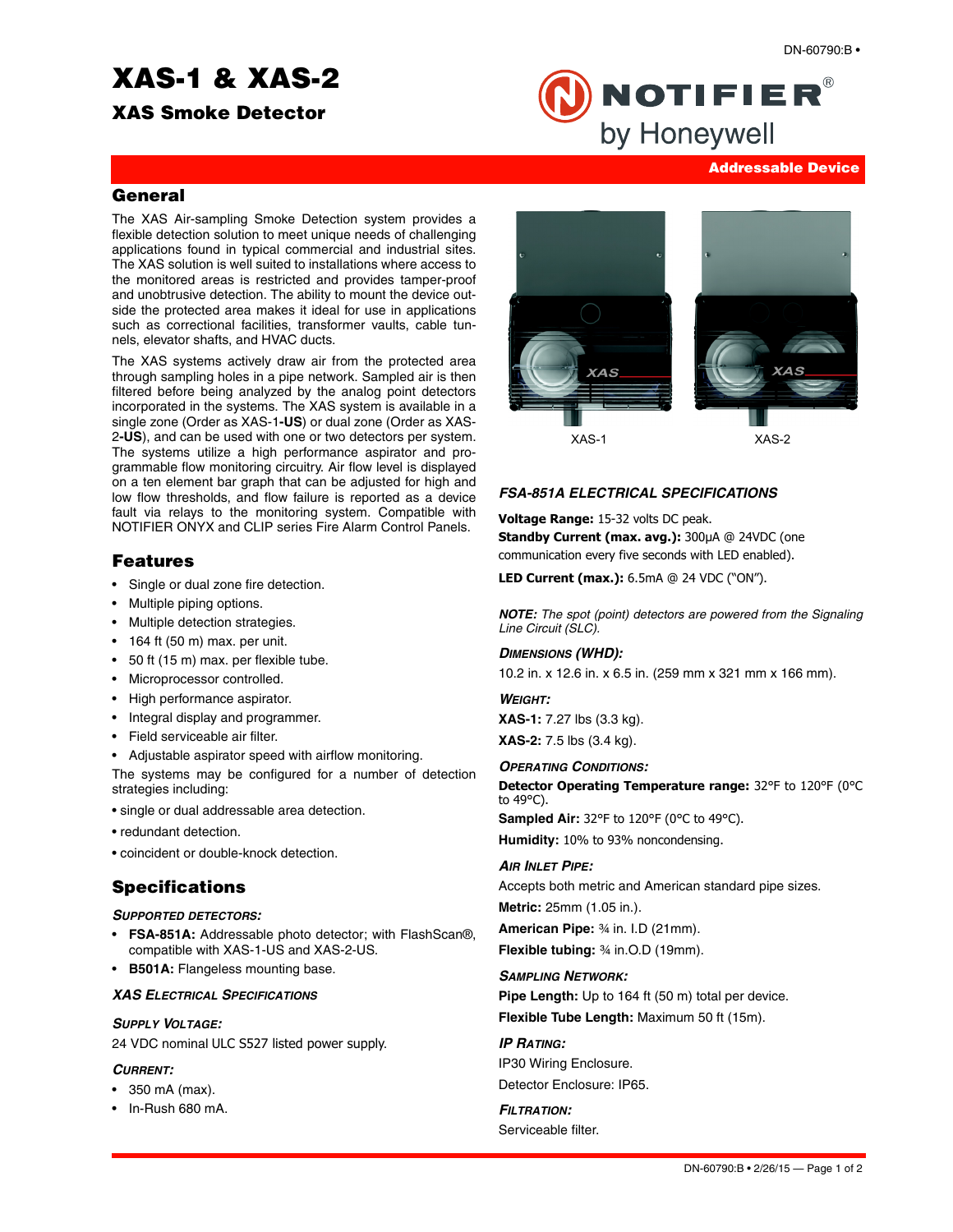# **XAS-1 & XAS-2**

**XAS Smoke Detector**



#### **Addressable Device**

#### **General**

The XAS Air-sampling Smoke Detection system provides a flexible detection solution to meet unique needs of challenging applications found in typical commercial and industrial sites. The XAS solution is well suited to installations where access to the monitored areas is restricted and provides tamper-proof and unobtrusive detection. The ability to mount the device outside the protected area makes it ideal for use in applications such as correctional facilities, transformer vaults, cable tunnels, elevator shafts, and HVAC ducts.

The XAS systems actively draw air from the protected area through sampling holes in a pipe network. Sampled air is then filtered before being analyzed by the analog point detectors incorporated in the systems. The XAS system is available in a single zone (Order as XAS-1**-US**) or dual zone (Order as XAS-2**-US**), and can be used with one or two detectors per system. The systems utilize a high performance aspirator and programmable flow monitoring circuitry. Air flow level is displayed on a ten element bar graph that can be adjusted for high and low flow thresholds, and flow failure is reported as a device fault via relays to the monitoring system. Compatible with NOTIFIER ONYX and CLIP series Fire Alarm Control Panels.

# **Features**

- Single or dual zone fire detection.
- Multiple piping options.
- Multiple detection strategies.
- 164 ft (50 m) max. per unit.
- 50 ft (15 m) max. per flexible tube.
- Microprocessor controlled.
- High performance aspirator.
- Integral display and programmer.
- Field serviceable air filter.
- Adjustable aspirator speed with airflow monitoring.

The systems may be configured for a number of detection strategies including:

- single or dual addressable area detection.
- redundant detection.
- coincident or double-knock detection.

# **Specifications**

#### *SUPPORTED DETECTORS:*

- **FSA-851A:** Addressable photo detector; with FlashScan®, compatible with XAS-1-US and XAS-2-US.
- **B501A:** Flangeless mounting base.

#### *XAS ELECTRICAL SPECIFICATIONS*

#### *SUPPLY VOLTAGE:*

24 VDC nominal ULC S527 listed power supply.

#### *CURRENT:*

- 350 mA (max).
- In-Rush 680 mA.



#### *FSA-851A ELECTRICAL SPECIFICATIONS*

#### **Voltage Range:** 15-32 volts DC peak.

**Standby Current (max. avg.):** 300μA @ 24VDC (one communication every five seconds with LED enabled).

**LED Current (max.):** 6.5mA @ 24 VDC ("ON").

*NOTE: The spot (point) detectors are powered from the Signaling Line Circuit (SLC).*

#### *DIMENSIONS (WHD):*

10.2 in. x 12.6 in. x 6.5 in. (259 mm x 321 mm x 166 mm).

#### *WEIGHT:*

**XAS-1:** 7.27 lbs (3.3 kg).

**XAS-2:** 7.5 lbs (3.4 kg).

### *OPERATING CONDITIONS:*

**Detector Operating Temperature range:** 32°F to 120°F (0°C to 49°C).

**Sampled Air:** 32°F to 120°F (0°C to 49°C). **Humidity:** 10% to 93% noncondensing.

#### *AIR INLET PIPE:*

Accepts both metric and American standard pipe sizes. **Metric:** 25mm (1.05 in.). **American Pipe:** ¾ in. I.D (21mm). **Flexible tubing:** ¾ in.O.D (19mm).

#### *SAMPLING NETWORK:*

**Pipe Length:** Up to 164 ft (50 m) total per device. **Flexible Tube Length:** Maximum 50 ft (15m).

#### *IP RATING:*

IP30 Wiring Enclosure. Detector Enclosure: IP65.

# *FILTRATION:*

Serviceable filter.